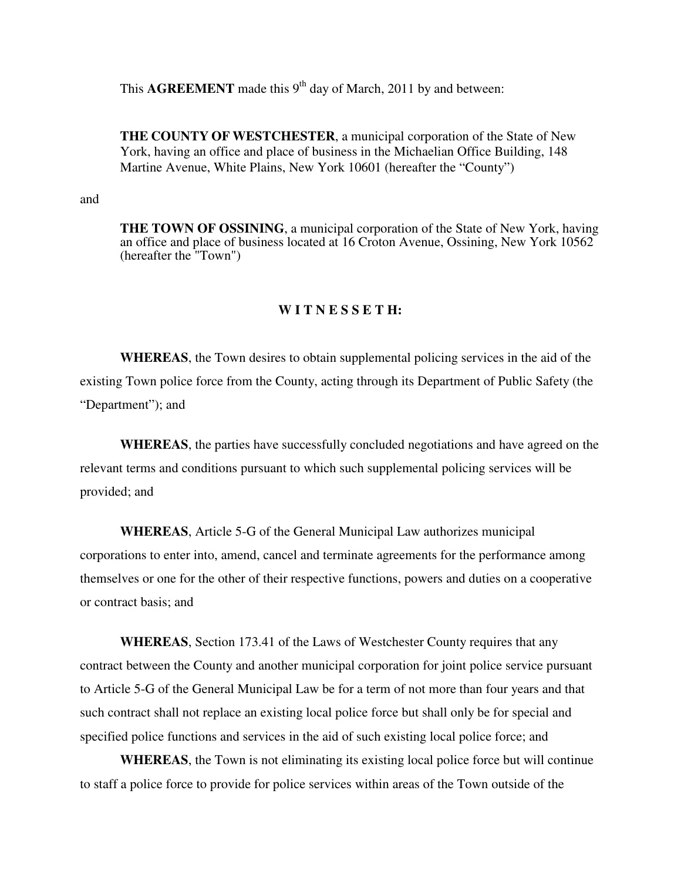This  $\text{AGREEMENT}$  made this 9<sup>th</sup> day of March, 2011 by and between:

**THE COUNTY OF WESTCHESTER**, a municipal corporation of the State of New York, having an office and place of business in the Michaelian Office Building, 148 Martine Avenue, White Plains, New York 10601 (hereafter the "County")

and

**THE TOWN OF OSSINING**, a municipal corporation of the State of New York, having an office and place of business located at 16 Croton Avenue, Ossining, New York 10562 (hereafter the "Town")

### **W I T N E S S E T H:**

 **WHEREAS**, the Town desires to obtain supplemental policing services in the aid of the existing Town police force from the County, acting through its Department of Public Safety (the "Department"); and

 **WHEREAS**, the parties have successfully concluded negotiations and have agreed on the relevant terms and conditions pursuant to which such supplemental policing services will be provided; and

 **WHEREAS**, Article 5-G of the General Municipal Law authorizes municipal corporations to enter into, amend, cancel and terminate agreements for the performance among themselves or one for the other of their respective functions, powers and duties on a cooperative or contract basis; and

**WHEREAS**, Section 173.41 of the Laws of Westchester County requires that any contract between the County and another municipal corporation for joint police service pursuant to Article 5-G of the General Municipal Law be for a term of not more than four years and that such contract shall not replace an existing local police force but shall only be for special and specified police functions and services in the aid of such existing local police force; and

 **WHEREAS**, the Town is not eliminating its existing local police force but will continue to staff a police force to provide for police services within areas of the Town outside of the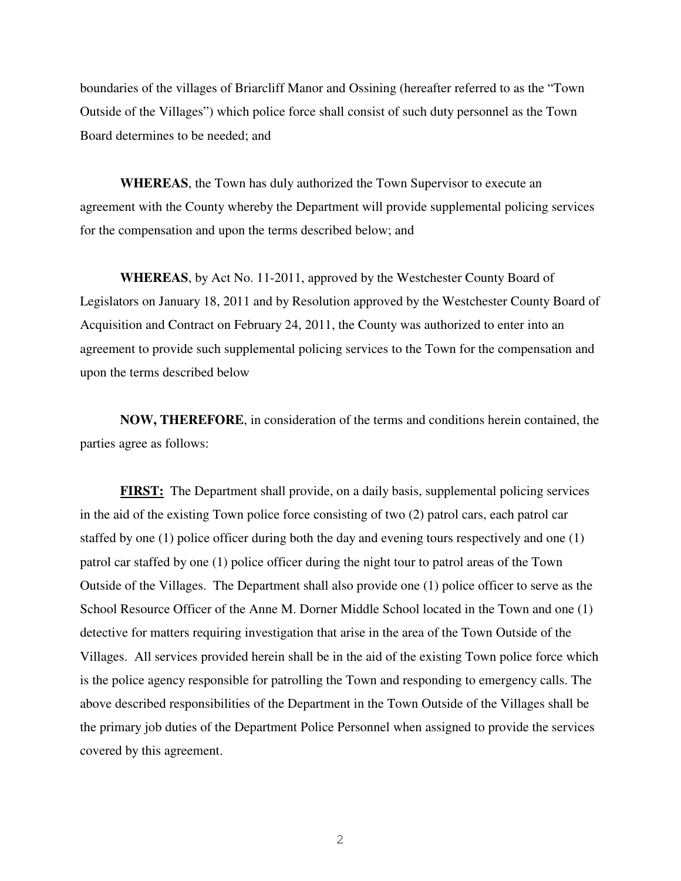boundaries of the villages of Briarcliff Manor and Ossining (hereafter referred to as the "Town Outside of the Villages") which police force shall consist of such duty personnel as the Town Board determines to be needed; and

**WHEREAS**, the Town has duly authorized the Town Supervisor to execute an agreement with the County whereby the Department will provide supplemental policing services for the compensation and upon the terms described below; and

**WHEREAS**, by Act No. 11-2011, approved by the Westchester County Board of Legislators on January 18, 2011 and by Resolution approved by the Westchester County Board of Acquisition and Contract on February 24, 2011, the County was authorized to enter into an agreement to provide such supplemental policing services to the Town for the compensation and upon the terms described below

**NOW, THEREFORE**, in consideration of the terms and conditions herein contained, the parties agree as follows:

**FIRST:** The Department shall provide, on a daily basis, supplemental policing services in the aid of the existing Town police force consisting of two (2) patrol cars, each patrol car staffed by one (1) police officer during both the day and evening tours respectively and one (1) patrol car staffed by one (1) police officer during the night tour to patrol areas of the Town Outside of the Villages. The Department shall also provide one (1) police officer to serve as the School Resource Officer of the Anne M. Dorner Middle School located in the Town and one (1) detective for matters requiring investigation that arise in the area of the Town Outside of the Villages. All services provided herein shall be in the aid of the existing Town police force which is the police agency responsible for patrolling the Town and responding to emergency calls. The above described responsibilities of the Department in the Town Outside of the Villages shall be the primary job duties of the Department Police Personnel when assigned to provide the services covered by this agreement.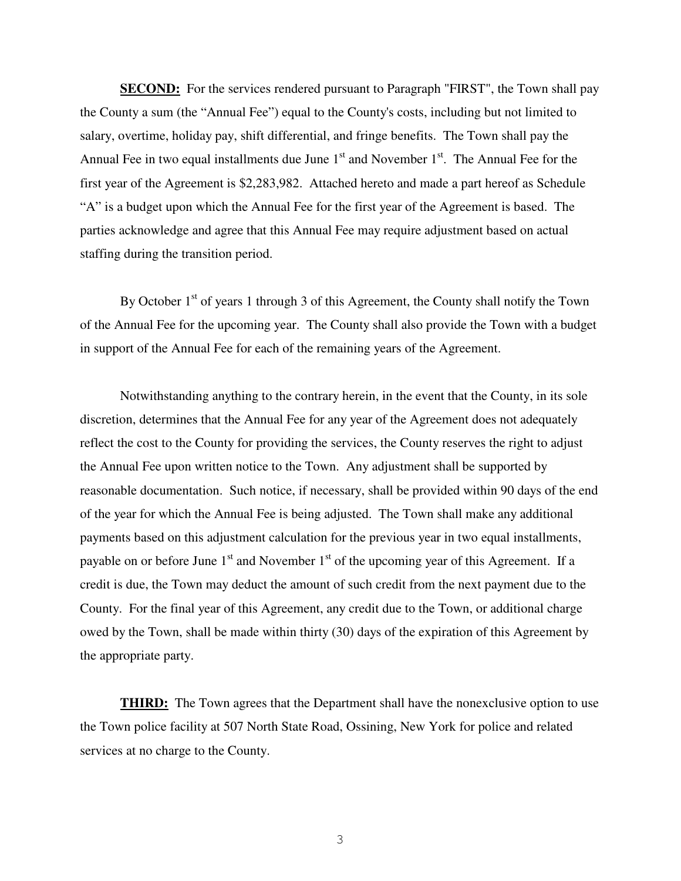**SECOND:** For the services rendered pursuant to Paragraph "FIRST", the Town shall pay the County a sum (the "Annual Fee") equal to the County's costs, including but not limited to salary, overtime, holiday pay, shift differential, and fringe benefits. The Town shall pay the Annual Fee in two equal installments due June  $1<sup>st</sup>$  and November  $1<sup>st</sup>$ . The Annual Fee for the first year of the Agreement is \$2,283,982. Attached hereto and made a part hereof as Schedule "A" is a budget upon which the Annual Fee for the first year of the Agreement is based. The parties acknowledge and agree that this Annual Fee may require adjustment based on actual staffing during the transition period.

By October  $1<sup>st</sup>$  of years 1 through 3 of this Agreement, the County shall notify the Town of the Annual Fee for the upcoming year. The County shall also provide the Town with a budget in support of the Annual Fee for each of the remaining years of the Agreement.

 Notwithstanding anything to the contrary herein, in the event that the County, in its sole discretion, determines that the Annual Fee for any year of the Agreement does not adequately reflect the cost to the County for providing the services, the County reserves the right to adjust the Annual Fee upon written notice to the Town. Any adjustment shall be supported by reasonable documentation. Such notice, if necessary, shall be provided within 90 days of the end of the year for which the Annual Fee is being adjusted. The Town shall make any additional payments based on this adjustment calculation for the previous year in two equal installments, payable on or before June  $1<sup>st</sup>$  and November  $1<sup>st</sup>$  of the upcoming year of this Agreement. If a credit is due, the Town may deduct the amount of such credit from the next payment due to the County. For the final year of this Agreement, any credit due to the Town, or additional charge owed by the Town, shall be made within thirty (30) days of the expiration of this Agreement by the appropriate party.

**THIRD:** The Town agrees that the Department shall have the nonexclusive option to use the Town police facility at 507 North State Road, Ossining, New York for police and related services at no charge to the County.

3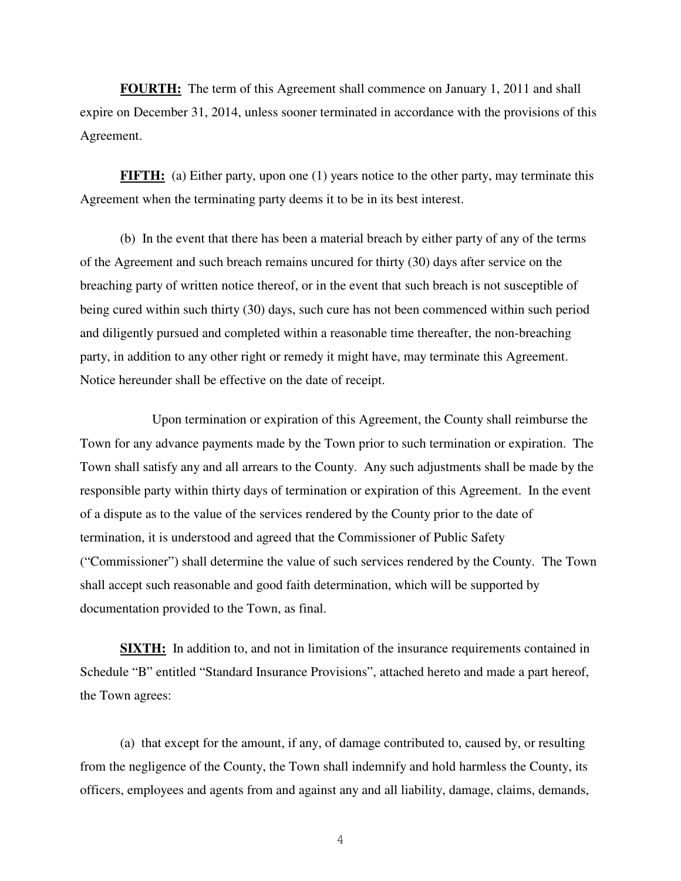**FOURTH:** The term of this Agreement shall commence on January 1, 2011 and shall expire on December 31, 2014, unless sooner terminated in accordance with the provisions of this Agreement.

**FIFTH:** (a) Either party, upon one (1) years notice to the other party, may terminate this Agreement when the terminating party deems it to be in its best interest.

 (b) In the event that there has been a material breach by either party of any of the terms of the Agreement and such breach remains uncured for thirty (30) days after service on the breaching party of written notice thereof, or in the event that such breach is not susceptible of being cured within such thirty (30) days, such cure has not been commenced within such period and diligently pursued and completed within a reasonable time thereafter, the non-breaching party, in addition to any other right or remedy it might have, may terminate this Agreement. Notice hereunder shall be effective on the date of receipt.

 Upon termination or expiration of this Agreement, the County shall reimburse the Town for any advance payments made by the Town prior to such termination or expiration. The Town shall satisfy any and all arrears to the County. Any such adjustments shall be made by the responsible party within thirty days of termination or expiration of this Agreement. In the event of a dispute as to the value of the services rendered by the County prior to the date of termination, it is understood and agreed that the Commissioner of Public Safety ("Commissioner") shall determine the value of such services rendered by the County. The Town shall accept such reasonable and good faith determination, which will be supported by documentation provided to the Town, as final.

**SIXTH:** In addition to, and not in limitation of the insurance requirements contained in Schedule "B" entitled "Standard Insurance Provisions", attached hereto and made a part hereof, the Town agrees:

 (a) that except for the amount, if any, of damage contributed to, caused by, or resulting from the negligence of the County, the Town shall indemnify and hold harmless the County, its officers, employees and agents from and against any and all liability, damage, claims, demands,

4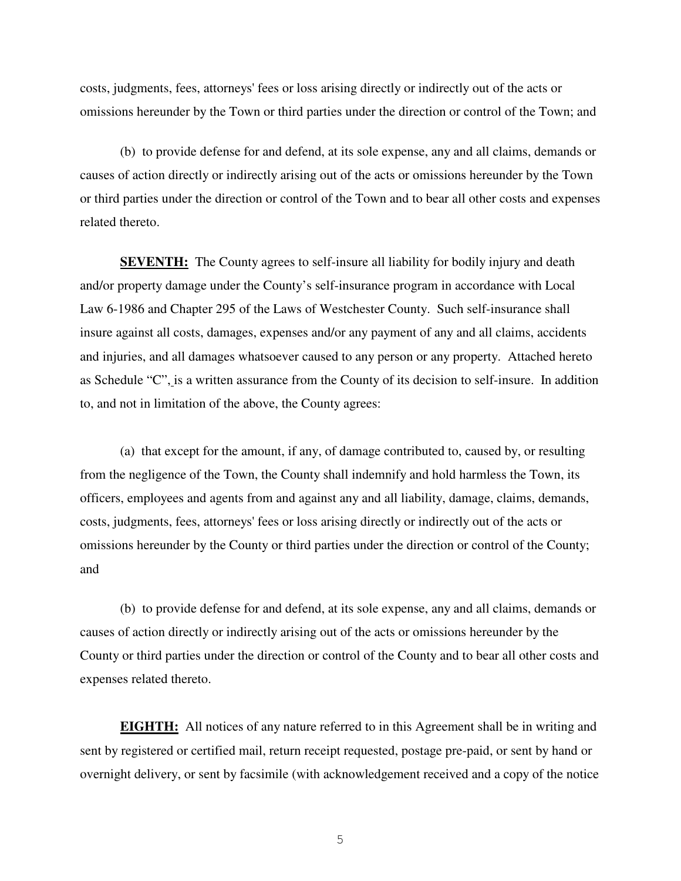costs, judgments, fees, attorneys' fees or loss arising directly or indirectly out of the acts or omissions hereunder by the Town or third parties under the direction or control of the Town; and

 (b) to provide defense for and defend, at its sole expense, any and all claims, demands or causes of action directly or indirectly arising out of the acts or omissions hereunder by the Town or third parties under the direction or control of the Town and to bear all other costs and expenses related thereto.

**SEVENTH:** The County agrees to self-insure all liability for bodily injury and death and/or property damage under the County's self-insurance program in accordance with Local Law 6-1986 and Chapter 295 of the Laws of Westchester County. Such self-insurance shall insure against all costs, damages, expenses and/or any payment of any and all claims, accidents and injuries, and all damages whatsoever caused to any person or any property. Attached hereto as Schedule "C", is a written assurance from the County of its decision to self-insure. In addition to, and not in limitation of the above, the County agrees:

(a) that except for the amount, if any, of damage contributed to, caused by, or resulting from the negligence of the Town, the County shall indemnify and hold harmless the Town, its officers, employees and agents from and against any and all liability, damage, claims, demands, costs, judgments, fees, attorneys' fees or loss arising directly or indirectly out of the acts or omissions hereunder by the County or third parties under the direction or control of the County; and

 (b) to provide defense for and defend, at its sole expense, any and all claims, demands or causes of action directly or indirectly arising out of the acts or omissions hereunder by the County or third parties under the direction or control of the County and to bear all other costs and expenses related thereto.

**EIGHTH:** All notices of any nature referred to in this Agreement shall be in writing and sent by registered or certified mail, return receipt requested, postage pre-paid, or sent by hand or overnight delivery, or sent by facsimile (with acknowledgement received and a copy of the notice

5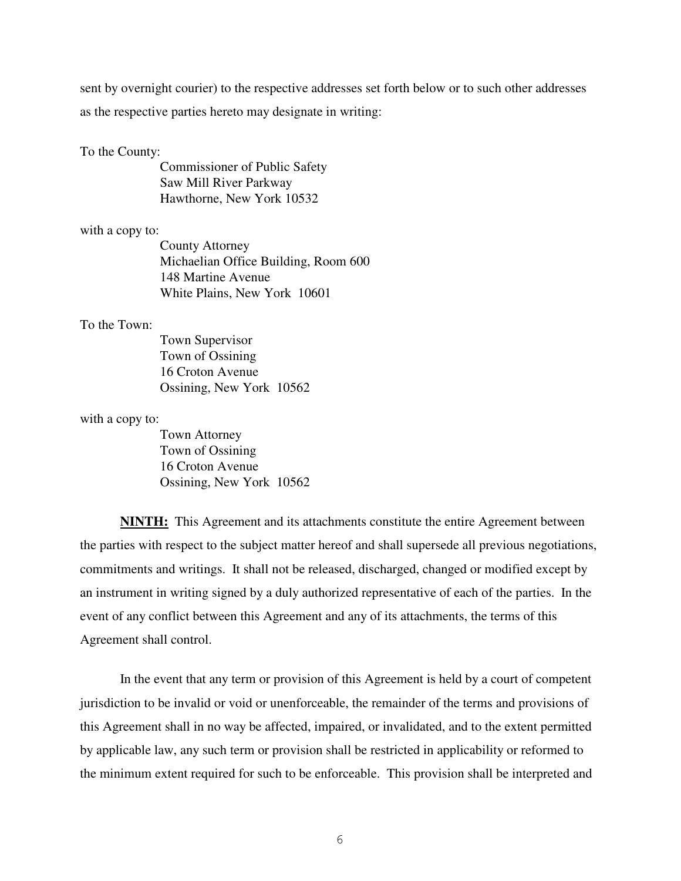sent by overnight courier) to the respective addresses set forth below or to such other addresses as the respective parties hereto may designate in writing:

#### To the County:

 Commissioner of Public Safety Saw Mill River Parkway Hawthorne, New York 10532

#### with a copy to:

 County Attorney Michaelian Office Building, Room 600 148 Martine Avenue White Plains, New York 10601

## To the Town:

 Town Supervisor Town of Ossining 16 Croton Avenue Ossining, New York 10562

#### with a copy to:

 Town Attorney Town of Ossining 16 Croton Avenue Ossining, New York 10562

**NINTH:** This Agreement and its attachments constitute the entire Agreement between the parties with respect to the subject matter hereof and shall supersede all previous negotiations, commitments and writings. It shall not be released, discharged, changed or modified except by an instrument in writing signed by a duly authorized representative of each of the parties. In the event of any conflict between this Agreement and any of its attachments, the terms of this Agreement shall control.

 In the event that any term or provision of this Agreement is held by a court of competent jurisdiction to be invalid or void or unenforceable, the remainder of the terms and provisions of this Agreement shall in no way be affected, impaired, or invalidated, and to the extent permitted by applicable law, any such term or provision shall be restricted in applicability or reformed to the minimum extent required for such to be enforceable. This provision shall be interpreted and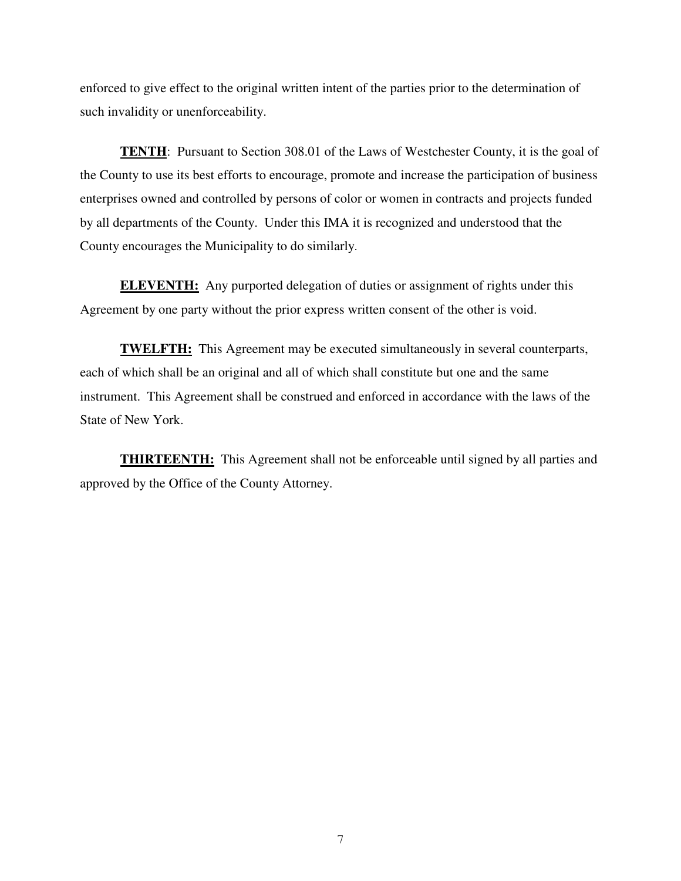enforced to give effect to the original written intent of the parties prior to the determination of such invalidity or unenforceability.

**TENTH:** Pursuant to Section 308.01 of the Laws of Westchester County, it is the goal of the County to use its best efforts to encourage, promote and increase the participation of business enterprises owned and controlled by persons of color or women in contracts and projects funded by all departments of the County. Under this IMA it is recognized and understood that the County encourages the Municipality to do similarly.

**ELEVENTH:** Any purported delegation of duties or assignment of rights under this Agreement by one party without the prior express written consent of the other is void.

**TWELFTH:** This Agreement may be executed simultaneously in several counterparts, each of which shall be an original and all of which shall constitute but one and the same instrument. This Agreement shall be construed and enforced in accordance with the laws of the State of New York.

**THIRTEENTH:** This Agreement shall not be enforceable until signed by all parties and approved by the Office of the County Attorney.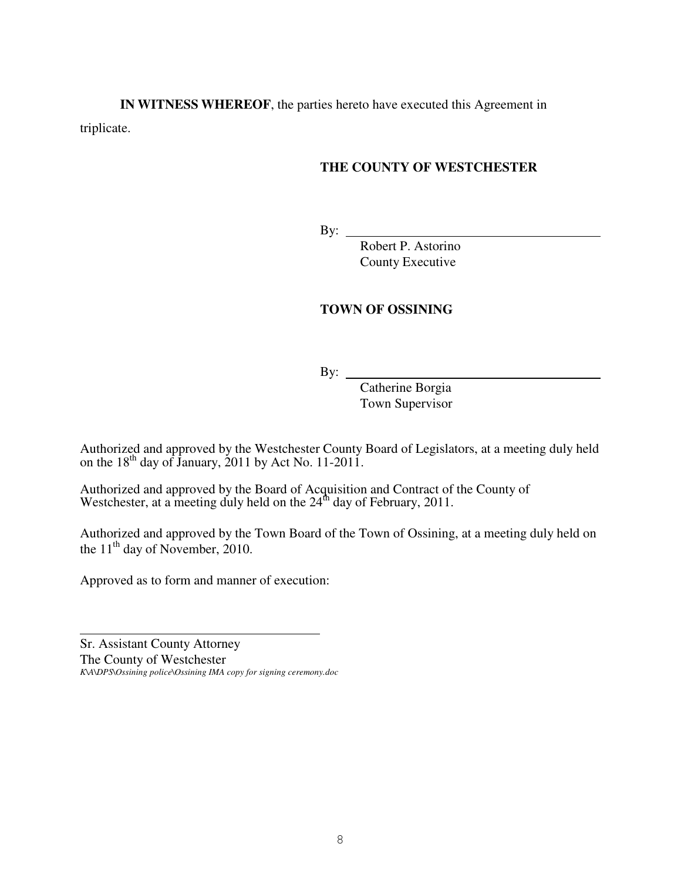**IN WITNESS WHEREOF**, the parties hereto have executed this Agreement in triplicate.

# **THE COUNTY OF WESTCHESTER**

By:

 Robert P. Astorino County Executive

# **TOWN OF OSSINING**

By:

 Catherine Borgia Town Supervisor

Authorized and approved by the Westchester County Board of Legislators, at a meeting duly held on the  $18<sup>th</sup>$  day of January, 2011 by Act No. 11-2011.

Authorized and approved by the Board of Acquisition and Contract of the County of Westchester, at a meeting duly held on the  $24<sup>th</sup>$  day of February, 2011.

Authorized and approved by the Town Board of the Town of Ossining, at a meeting duly held on the  $11<sup>th</sup>$  day of November, 2010.

Approved as to form and manner of execution:

 $\overline{a}$ 

Sr. Assistant County Attorney The County of Westchester *K\A\DPS\Ossining police\Ossining IMA copy for signing ceremony.doc*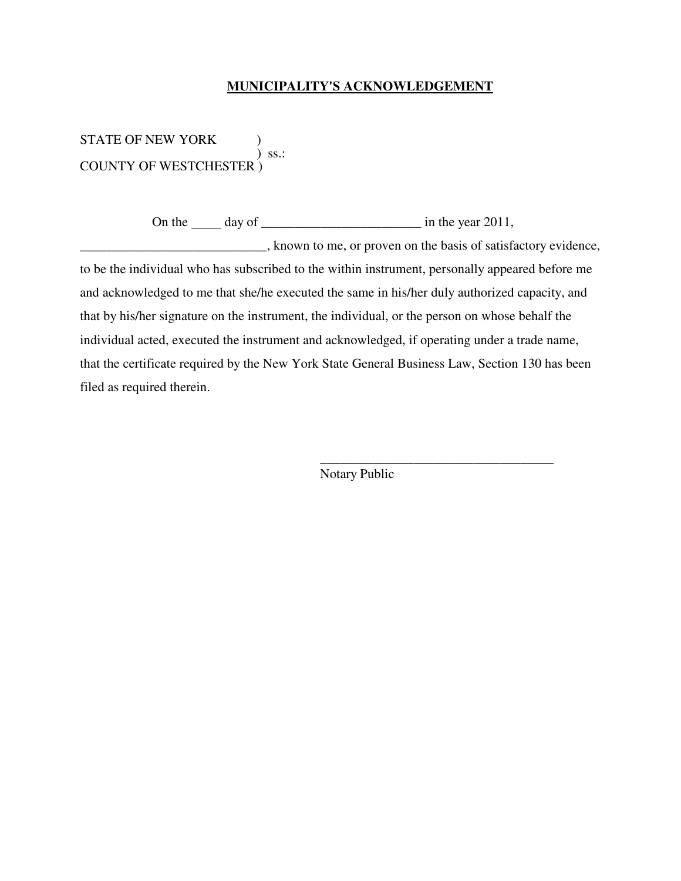## **MUNICIPALITY'S ACKNOWLEDGEMENT**

STATE OF NEW YORK ) ss.:  $\sum$  ss.: COUNTY OF WESTCHESTER )

On the  $\frac{d}{dx}$  day of  $\frac{d}{dx}$  in the year 2011,

\_\_\_\_\_\_\_\_\_\_\_\_\_\_\_\_\_\_\_\_\_\_\_\_\_\_\_\_, known to me, or proven on the basis of satisfactory evidence, to be the individual who has subscribed to the within instrument, personally appeared before me and acknowledged to me that she/he executed the same in his/her duly authorized capacity, and that by his/her signature on the instrument, the individual, or the person on whose behalf the individual acted, executed the instrument and acknowledged, if operating under a trade name, that the certificate required by the New York State General Business Law, Section 130 has been

filed as required therein.

Notary Public

 $\overline{\phantom{a}}$  , and the contract of the contract of the contract of the contract of the contract of the contract of the contract of the contract of the contract of the contract of the contract of the contract of the contrac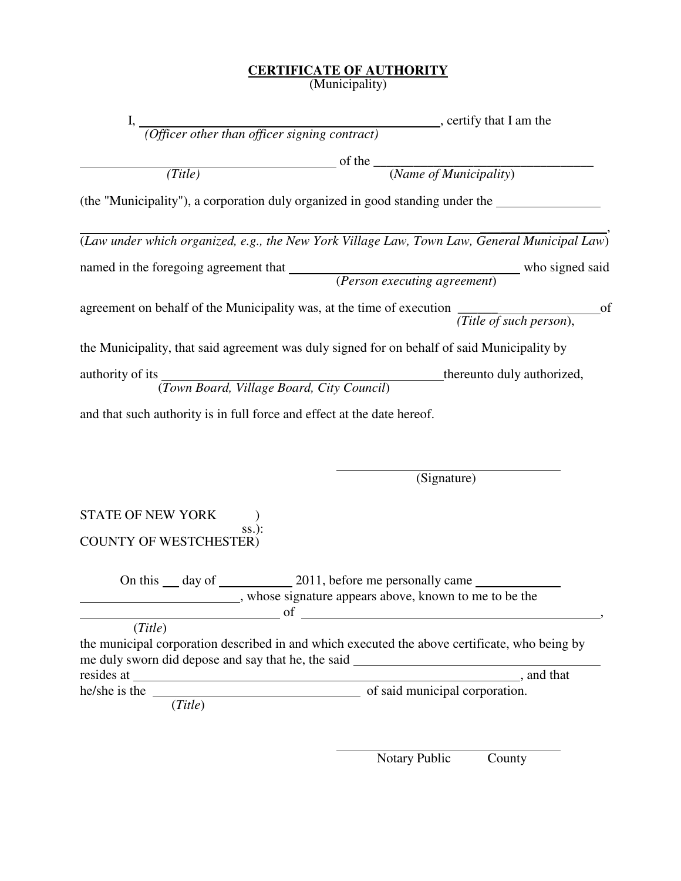## **CERTIFICATE OF AUTHORITY**

(Municipality)

|                                                                                                                | I, $\frac{1}{\sqrt{1-\frac{1}{1-\frac{1}{1-\frac{1}{1-\frac{1}{1-\frac{1}{1-\frac{1}{1-\frac{1}{1-\frac{1}{1-\frac{1}{1-\frac{1}{1-\frac{1}{1-\frac{1}{1-\frac{1}{1-\frac{1}{1-\frac{1}{1-\frac{1}{1-\frac{1}{1-\frac{1}{1-\frac{1}{1-\frac{1}{1-\frac{1}{1-\frac{1}{1-\frac{1}{1-\frac{1}{1-\frac{1}{1-\frac{1}{1-\frac{1}{1-\frac{1}{1-\frac{1}{1-\frac{1}{1-\frac{1}{1-\frac{1}{1-\frac{1}{1-\frac{1}{1-\frac{1$ |                            |
|----------------------------------------------------------------------------------------------------------------|---------------------------------------------------------------------------------------------------------------------------------------------------------------------------------------------------------------------------------------------------------------------------------------------------------------------------------------------------------------------------------------------------------------------|----------------------------|
|                                                                                                                |                                                                                                                                                                                                                                                                                                                                                                                                                     |                            |
|                                                                                                                | $\frac{1}{\sqrt{1-\frac{1}{2}}\cos\theta}$ of the $\frac{1}{\sqrt{1-\frac{1}{2}}\cos\theta}$                                                                                                                                                                                                                                                                                                                        |                            |
| (Title)                                                                                                        |                                                                                                                                                                                                                                                                                                                                                                                                                     |                            |
| (the "Municipality"), a corporation duly organized in good standing under the                                  |                                                                                                                                                                                                                                                                                                                                                                                                                     |                            |
| (Law under which organized, e.g., the New York Village Law, Town Law, General Municipal Law)                   |                                                                                                                                                                                                                                                                                                                                                                                                                     |                            |
| mamed in the foregoing agreement that <i>(Person executing agreement)</i> who signed said                      |                                                                                                                                                                                                                                                                                                                                                                                                                     |                            |
| agreement on behalf of the Municipality was, at the time of execution $\overline{(Title\ of\ such\ person)}$ , |                                                                                                                                                                                                                                                                                                                                                                                                                     | of                         |
| the Municipality, that said agreement was duly signed for on behalf of said Municipality by                    |                                                                                                                                                                                                                                                                                                                                                                                                                     |                            |
| authority of its<br>( <i>Town Board, Village Board, City Council</i> )                                         |                                                                                                                                                                                                                                                                                                                                                                                                                     | thereunto duly authorized, |
| and that such authority is in full force and effect at the date hereof.                                        |                                                                                                                                                                                                                                                                                                                                                                                                                     |                            |

(Signature)

STATE OF NEW YORK  $\qquad$  ) ss.): COUNTY OF WESTCHESTER)

> On this day of 2011, before me personally came **EXECUTE:** whose signature appears above, known to me to be the  $\sigma$  of  $\Gamma$

(*Title*)

the municipal corporation described in and which executed the above certificate, who being by me duly sworn did depose and say that he, the said resides at , and that he/she is the set of said municipal corporation.

(*Title*)

Notary Public County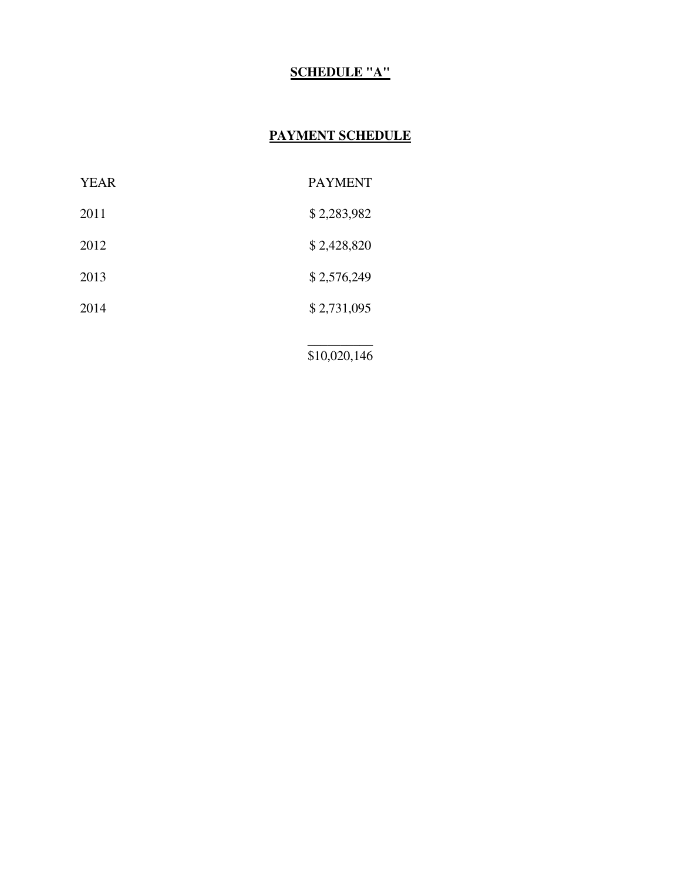# **SCHEDULE "A"**

# **PAYMENT SCHEDULE**

| <b>YEAR</b> | <b>PAYMENT</b> |
|-------------|----------------|
| 2011        | \$2,283,982    |
| 2012        | \$2,428,820    |
| 2013        | \$2,576,249    |
| 2014        | \$2,731,095    |
|             |                |

\$10,020,146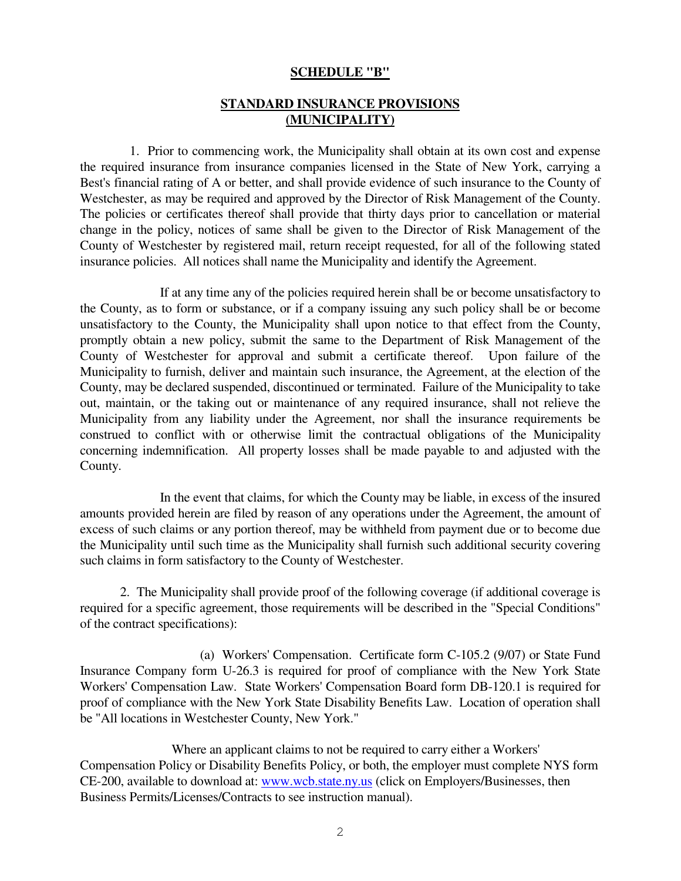### **SCHEDULE "B"**

# **STANDARD INSURANCE PROVISIONS (MUNICIPALITY)**

 1. Prior to commencing work, the Municipality shall obtain at its own cost and expense the required insurance from insurance companies licensed in the State of New York, carrying a Best's financial rating of A or better, and shall provide evidence of such insurance to the County of Westchester, as may be required and approved by the Director of Risk Management of the County. The policies or certificates thereof shall provide that thirty days prior to cancellation or material change in the policy, notices of same shall be given to the Director of Risk Management of the County of Westchester by registered mail, return receipt requested, for all of the following stated insurance policies. All notices shall name the Municipality and identify the Agreement.

 If at any time any of the policies required herein shall be or become unsatisfactory to the County, as to form or substance, or if a company issuing any such policy shall be or become unsatisfactory to the County, the Municipality shall upon notice to that effect from the County, promptly obtain a new policy, submit the same to the Department of Risk Management of the County of Westchester for approval and submit a certificate thereof. Upon failure of the Municipality to furnish, deliver and maintain such insurance, the Agreement, at the election of the County, may be declared suspended, discontinued or terminated. Failure of the Municipality to take out, maintain, or the taking out or maintenance of any required insurance, shall not relieve the Municipality from any liability under the Agreement, nor shall the insurance requirements be construed to conflict with or otherwise limit the contractual obligations of the Municipality concerning indemnification. All property losses shall be made payable to and adjusted with the County.

 In the event that claims, for which the County may be liable, in excess of the insured amounts provided herein are filed by reason of any operations under the Agreement, the amount of excess of such claims or any portion thereof, may be withheld from payment due or to become due the Municipality until such time as the Municipality shall furnish such additional security covering such claims in form satisfactory to the County of Westchester.

 2. The Municipality shall provide proof of the following coverage (if additional coverage is required for a specific agreement, those requirements will be described in the "Special Conditions" of the contract specifications):

 (a) Workers' Compensation. Certificate form C-105.2 (9/07) or State Fund Insurance Company form U-26.3 is required for proof of compliance with the New York State Workers' Compensation Law. State Workers' Compensation Board form DB-120.1 is required for proof of compliance with the New York State Disability Benefits Law. Location of operation shall be "All locations in Westchester County, New York."

 Where an applicant claims to not be required to carry either a Workers' Compensation Policy or Disability Benefits Policy, or both, the employer must complete NYS form CE-200, available to download at: www.wcb.state.ny.us (click on Employers/Businesses, then Business Permits/Licenses/Contracts to see instruction manual).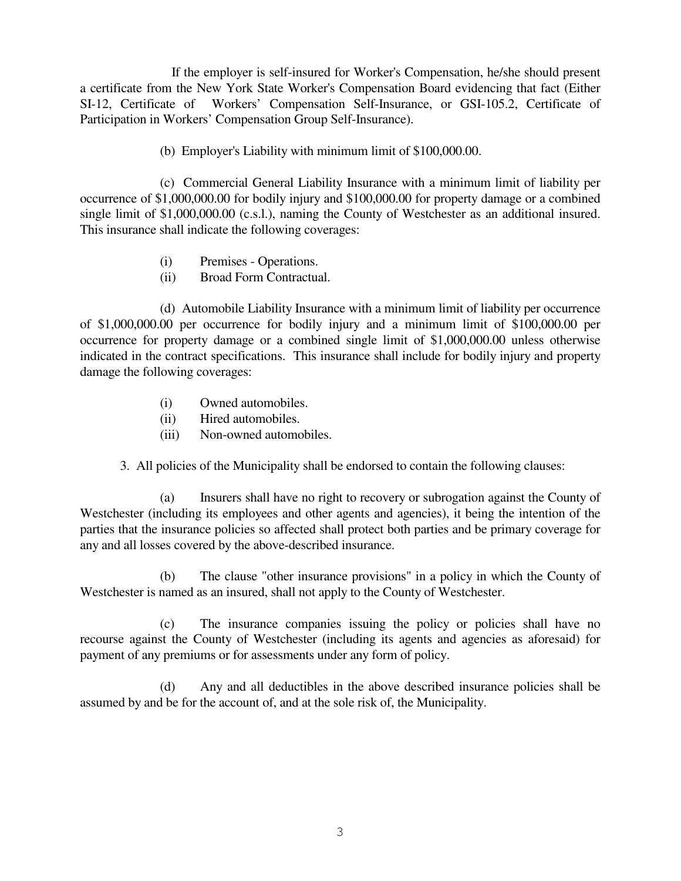If the employer is self-insured for Worker's Compensation, he/she should present a certificate from the New York State Worker's Compensation Board evidencing that fact (Either SI-12, Certificate of Workers' Compensation Self-Insurance, or GSI-105.2, Certificate of Participation in Workers' Compensation Group Self-Insurance).

(b) Employer's Liability with minimum limit of \$100,000.00.

 (c) Commercial General Liability Insurance with a minimum limit of liability per occurrence of \$1,000,000.00 for bodily injury and \$100,000.00 for property damage or a combined single limit of \$1,000,000.00 (c.s.l.), naming the County of Westchester as an additional insured. This insurance shall indicate the following coverages:

- (i) Premises Operations.
- (ii) Broad Form Contractual.

 (d) Automobile Liability Insurance with a minimum limit of liability per occurrence of \$1,000,000.00 per occurrence for bodily injury and a minimum limit of \$100,000.00 per occurrence for property damage or a combined single limit of \$1,000,000.00 unless otherwise indicated in the contract specifications. This insurance shall include for bodily injury and property damage the following coverages:

- (i) Owned automobiles.
- (ii) Hired automobiles.
- (iii) Non-owned automobiles.
- 3. All policies of the Municipality shall be endorsed to contain the following clauses:

 (a) Insurers shall have no right to recovery or subrogation against the County of Westchester (including its employees and other agents and agencies), it being the intention of the parties that the insurance policies so affected shall protect both parties and be primary coverage for any and all losses covered by the above-described insurance.

 (b) The clause "other insurance provisions" in a policy in which the County of Westchester is named as an insured, shall not apply to the County of Westchester.

 (c) The insurance companies issuing the policy or policies shall have no recourse against the County of Westchester (including its agents and agencies as aforesaid) for payment of any premiums or for assessments under any form of policy.

 (d) Any and all deductibles in the above described insurance policies shall be assumed by and be for the account of, and at the sole risk of, the Municipality.